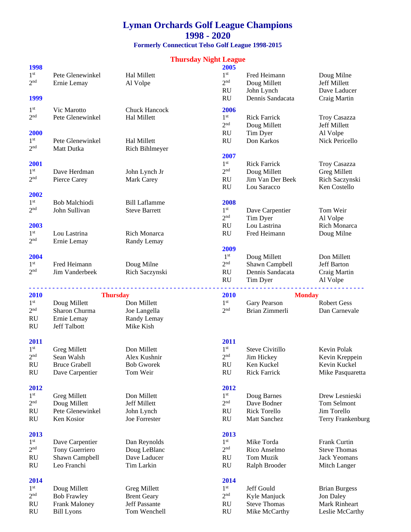## **Lyman Orchards Golf League Champions 1998 - 2020**

**Formerly Connecticut Telso Golf League 1998-2015**

## **Thursday Night League**

| 1998            |                                           |                                      | 2005            |                                      |                                  |
|-----------------|-------------------------------------------|--------------------------------------|-----------------|--------------------------------------|----------------------------------|
| 1 <sup>st</sup> | Pete Glenewinkel                          | Hal Millett                          | 1 <sup>st</sup> | Fred Heimann                         | Doug Milne                       |
| 2 <sup>nd</sup> | Ernie Lemay                               | Al Volpe                             | 2 <sup>nd</sup> | Doug Millett                         | <b>Jeff Millett</b>              |
|                 |                                           |                                      | <b>RU</b>       | John Lynch                           | Dave Laducer                     |
| 1999            |                                           |                                      | <b>RU</b>       | Dennis Sandacata                     |                                  |
|                 |                                           |                                      |                 |                                      | Craig Martin                     |
| 1 <sup>st</sup> | Vic Marotto                               | <b>Chuck Hancock</b>                 | 2006            |                                      |                                  |
| 2 <sup>nd</sup> | Pete Glenewinkel                          | Hal Millett                          | 1 <sup>st</sup> | <b>Rick Farrick</b>                  | Troy Casazza                     |
|                 |                                           |                                      | 2 <sup>nd</sup> | Doug Millett                         | Jeff Millett                     |
| 2000            |                                           |                                      | <b>RU</b>       | Tim Dyer                             | Al Volpe                         |
| $1^{\rm st}$    | Pete Glenewinkel                          |                                      | <b>RU</b>       | Don Karkos                           | Nick Pericello                   |
|                 |                                           | Hal Millett                          |                 |                                      |                                  |
| 2 <sup>nd</sup> | Matt Dutka                                | <b>Rich Bihlmeyer</b>                |                 |                                      |                                  |
|                 |                                           |                                      | 2007            |                                      |                                  |
| 2001            |                                           |                                      | 1 <sup>st</sup> | <b>Rick Farrick</b>                  | Troy Casazza                     |
| 1 <sup>st</sup> | Dave Herdman                              | John Lynch Jr                        | 2 <sup>nd</sup> | Doug Millett                         | <b>Greg Millett</b>              |
| 2 <sup>nd</sup> | Pierce Carey                              | Mark Carey                           | <b>RU</b>       | Jim Van Der Beek                     | Rich Saczynski                   |
|                 |                                           |                                      | RU              | Lou Saracco                          | Ken Costello                     |
| 2002            |                                           |                                      |                 |                                      |                                  |
| 1 <sup>st</sup> | <b>Bob Malchiodi</b>                      | <b>Bill Laflamme</b>                 | 2008            |                                      |                                  |
| 2 <sup>nd</sup> | John Sullivan                             | <b>Steve Barrett</b>                 | 1 <sup>st</sup> | Dave Carpentier                      | Tom Weir                         |
|                 |                                           |                                      | 2 <sup>nd</sup> | Tim Dyer                             | Al Volpe                         |
| 2003            |                                           |                                      |                 | Lou Lastrina                         | Rich Monarca                     |
|                 |                                           |                                      | <b>RU</b>       |                                      |                                  |
| 1 <sup>st</sup> | Lou Lastrina                              | <b>Rich Monarca</b>                  | <b>RU</b>       | Fred Heimann                         | Doug Milne                       |
| 2 <sup>nd</sup> | Ernie Lemay                               | Randy Lemay                          |                 |                                      |                                  |
|                 |                                           |                                      | 2009            |                                      |                                  |
| 2004            |                                           |                                      | 1 <sup>st</sup> | Doug Millett                         | Don Millett                      |
| $1^{\rm st}$    | Fred Heimann                              | Doug Milne                           | 2 <sup>nd</sup> | Shawn Campbell                       | <b>Jeff Barton</b>               |
| 2 <sup>nd</sup> | Jim Vanderbeek                            | Rich Saczynski                       | <b>RU</b>       | Dennis Sandacata                     | Craig Martin                     |
|                 |                                           |                                      | <b>RU</b>       | Tim Dyer                             | Al Volpe                         |
|                 |                                           |                                      |                 |                                      |                                  |
| 2010            | <b>Thursday</b>                           |                                      | 2010            | <b>Monday</b>                        |                                  |
| $1^{\rm st}$    | Doug Millett                              | Don Millett                          | 1 <sup>st</sup> | Gary Pearson                         | <b>Robert Gess</b>               |
| 2 <sup>nd</sup> | Sharon Churma                             | Joe Langella                         | 2 <sub>nd</sub> | Brian Zimmerli                       | Dan Carnevale                    |
| RU              |                                           |                                      |                 |                                      |                                  |
|                 | Ernie Lemay                               | Randy Lemay                          |                 |                                      |                                  |
|                 |                                           | Mike Kish                            |                 |                                      |                                  |
| RU              | Jeff Talbott                              |                                      |                 |                                      |                                  |
|                 |                                           |                                      |                 |                                      |                                  |
| 2011            |                                           |                                      | 2011            |                                      |                                  |
| 1 <sup>st</sup> | <b>Greg Millett</b>                       | Don Millett                          | 1 <sup>st</sup> | <b>Steve Civitillo</b>               | Kevin Polak                      |
| 2 <sup>nd</sup> | Sean Walsh                                | Alex Kushnir                         | 2 <sub>nd</sub> | Jim Hickey                           | Kevin Kreppein                   |
|                 |                                           |                                      |                 |                                      |                                  |
| RU              | <b>Bruce Grabell</b>                      | <b>Bob Gworek</b>                    | RU              | Ken Kuckel                           | Kevin Kuckel                     |
| RU              | Dave Carpentier                           | Tom Weir                             | <b>RU</b>       | <b>Rick Farrick</b>                  | Mike Pasquaretta                 |
|                 |                                           |                                      |                 |                                      |                                  |
| 2012            |                                           |                                      | 2012            |                                      |                                  |
| $1^{\rm st}$    | Greg Millett                              | Don Millett                          | $1^{\rm{st}}$   | Doug Barnes                          | Drew Lesnieski                   |
| 2 <sup>nd</sup> | Doug Millett                              | <b>Jeff Millett</b>                  | 2 <sup>nd</sup> | Dave Bodner                          | <b>Tom Selmont</b>               |
| <b>RU</b>       | Pete Glenewinkel                          | John Lynch                           | <b>RU</b>       | <b>Rick Torello</b>                  | Jim Torello                      |
| <b>RU</b>       | Ken Kosior                                | Joe Forrester                        | <b>RU</b>       | Matt Sanchez                         | Terry Frankenburg                |
|                 |                                           |                                      |                 |                                      |                                  |
| 2013            |                                           |                                      | 2013            |                                      |                                  |
| 1 <sup>st</sup> | Dave Carpentier                           | Dan Reynolds                         | $1^{\rm{st}}$   | Mike Torda                           | Frank Curtin                     |
| 2 <sup>nd</sup> | Tony Guerriero                            |                                      | 2 <sup>nd</sup> | Rico Anselmo                         | <b>Steve Thomas</b>              |
|                 |                                           | Doug LeBlanc                         |                 |                                      |                                  |
| RU              | Shawn Campbell                            | Dave Laducer                         | <b>RU</b>       | Tom Muzik                            | Jack Yeomans                     |
| RU              | Leo Franchi                               | Tim Larkin                           | <b>RU</b>       | Ralph Brooder                        | Mitch Langer                     |
|                 |                                           |                                      |                 |                                      |                                  |
| 2014            |                                           |                                      | 2014            |                                      |                                  |
| $1^{\rm st}$    | Doug Millett                              | <b>Greg Millett</b>                  | $1^{\rm{st}}$   | Jeff Gould                           | <b>Brian Burgess</b>             |
| 2 <sup>nd</sup> | <b>Bob Frawley</b>                        | <b>Brent Geary</b>                   | 2 <sup>nd</sup> | Kyle Manjuck                         | Jon Daley                        |
| RU<br>RU        | <b>Frank Maloney</b><br><b>Bill Lyons</b> | <b>Jeff Passante</b><br>Tom Wenchell | <b>RU</b><br>RU | <b>Steve Thomas</b><br>Mike McCarthy | Mark Rinheart<br>Leslie McCarthy |